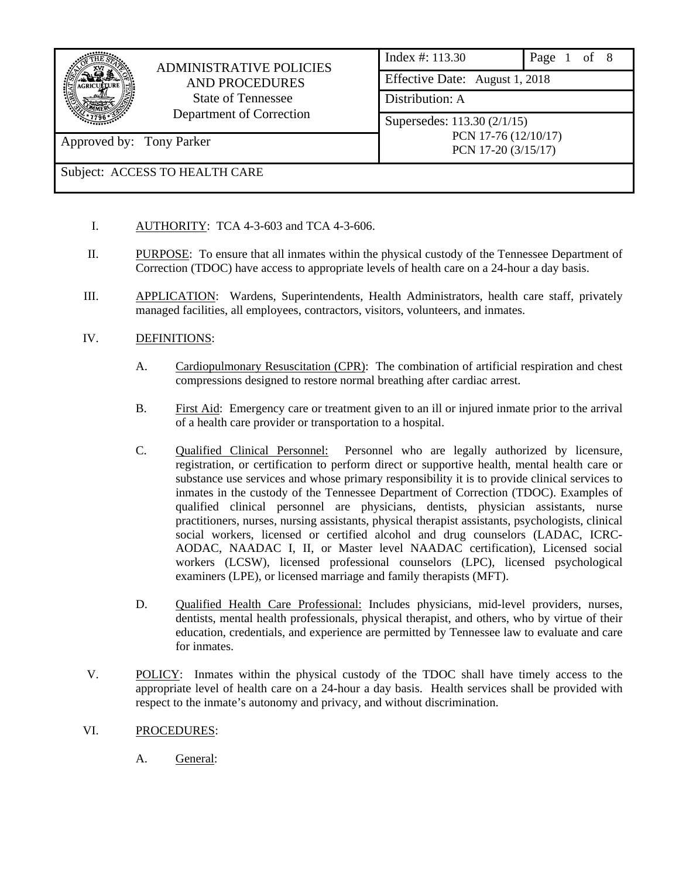|                          | <b>ADMINISTRATIVE POLICIES</b> | Index #: 113.30                             | of 8<br>Page |  |  |  |
|--------------------------|--------------------------------|---------------------------------------------|--------------|--|--|--|
|                          | <b>AND PROCEDURES</b>          | Effective Date: August 1, 2018              |              |  |  |  |
|                          | <b>State of Tennessee</b>      | Distribution: A                             |              |  |  |  |
|                          | Department of Correction       | Supersedes: 113.30 (2/1/15)                 |              |  |  |  |
| Approved by: Tony Parker |                                | PCN 17-76 (12/10/17)<br>PCN 17-20 (3/15/17) |              |  |  |  |
|                          | Subject: ACCESS TO HEALTH CARE |                                             |              |  |  |  |

- I. AUTHORITY: TCA 4-3-603 and TCA 4-3-606.
- II. PURPOSE: To ensure that all inmates within the physical custody of the Tennessee Department of Correction (TDOC) have access to appropriate levels of health care on a 24-hour a day basis.
- III. APPLICATION: Wardens, Superintendents, Health Administrators, health care staff, privately managed facilities, all employees, contractors, visitors, volunteers, and inmates.
- IV. DEFINITIONS:
	- A. Cardiopulmonary Resuscitation (CPR): The combination of artificial respiration and chest compressions designed to restore normal breathing after cardiac arrest.
	- B. First Aid: Emergency care or treatment given to an ill or injured inmate prior to the arrival of a health care provider or transportation to a hospital.
	- C. Qualified Clinical Personnel: Personnel who are legally authorized by licensure, registration, or certification to perform direct or supportive health, mental health care or substance use services and whose primary responsibility it is to provide clinical services to inmates in the custody of the Tennessee Department of Correction (TDOC). Examples of qualified clinical personnel are physicians, dentists, physician assistants, nurse practitioners, nurses, nursing assistants, physical therapist assistants, psychologists, clinical social workers, licensed or certified alcohol and drug counselors (LADAC, ICRC-AODAC, NAADAC I, II, or Master level NAADAC certification), Licensed social workers (LCSW), licensed professional counselors (LPC), licensed psychological examiners (LPE), or licensed marriage and family therapists (MFT).
	- D. Qualified Health Care Professional: Includes physicians, mid-level providers, nurses, dentists, mental health professionals, physical therapist, and others, who by virtue of their education, credentials, and experience are permitted by Tennessee law to evaluate and care for inmates.
- V. POLICY: Inmates within the physical custody of the TDOC shall have timely access to the appropriate level of health care on a 24-hour a day basis. Health services shall be provided with respect to the inmate's autonomy and privacy, and without discrimination.
- VI. PROCEDURES:
	- A. General: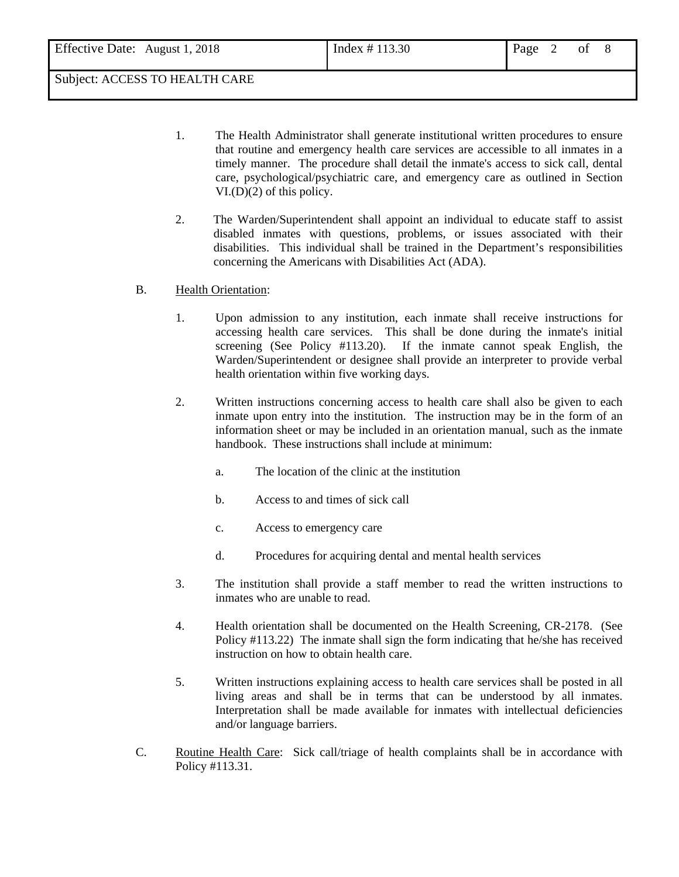- 1. The Health Administrator shall generate institutional written procedures to ensure that routine and emergency health care services are accessible to all inmates in a timely manner. The procedure shall detail the inmate's access to sick call, dental care, psychological/psychiatric care, and emergency care as outlined in Section VI.(D)(2) of this policy.
- 2. The Warden/Superintendent shall appoint an individual to educate staff to assist disabled inmates with questions, problems, or issues associated with their disabilities. This individual shall be trained in the Department's responsibilities concerning the Americans with Disabilities Act (ADA).

### B. Health Orientation:

- 1. Upon admission to any institution, each inmate shall receive instructions for accessing health care services. This shall be done during the inmate's initial screening (See Policy #113.20). If the inmate cannot speak English, the Warden/Superintendent or designee shall provide an interpreter to provide verbal health orientation within five working days.
- 2. Written instructions concerning access to health care shall also be given to each inmate upon entry into the institution. The instruction may be in the form of an information sheet or may be included in an orientation manual, such as the inmate handbook. These instructions shall include at minimum:
	- a. The location of the clinic at the institution
	- b. Access to and times of sick call
	- c. Access to emergency care
	- d. Procedures for acquiring dental and mental health services
- 3. The institution shall provide a staff member to read the written instructions to inmates who are unable to read.
- 4. Health orientation shall be documented on the Health Screening, CR-2178. (See Policy #113.22) The inmate shall sign the form indicating that he/she has received instruction on how to obtain health care.
- 5. Written instructions explaining access to health care services shall be posted in all living areas and shall be in terms that can be understood by all inmates. Interpretation shall be made available for inmates with intellectual deficiencies and/or language barriers.
- C. Routine Health Care: Sick call/triage of health complaints shall be in accordance with Policy #113.31.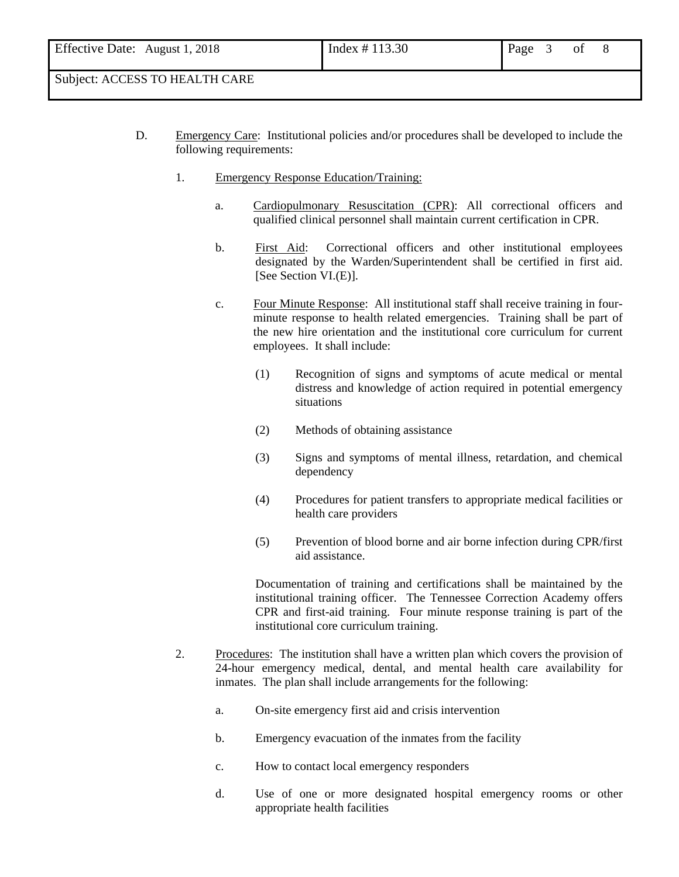- D. Emergency Care: Institutional policies and/or procedures shall be developed to include the following requirements:
	- 1. Emergency Response Education/Training:
		- a. Cardiopulmonary Resuscitation (CPR): All correctional officers and qualified clinical personnel shall maintain current certification in CPR.
		- b. First Aid: Correctional officers and other institutional employees designated by the Warden/Superintendent shall be certified in first aid. [See Section VI.(E)].
		- c. Four Minute Response: All institutional staff shall receive training in fourminute response to health related emergencies. Training shall be part of the new hire orientation and the institutional core curriculum for current employees. It shall include:
			- (1) Recognition of signs and symptoms of acute medical or mental distress and knowledge of action required in potential emergency situations
			- (2) Methods of obtaining assistance
			- (3) Signs and symptoms of mental illness, retardation, and chemical dependency
			- (4) Procedures for patient transfers to appropriate medical facilities or health care providers
			- (5) Prevention of blood borne and air borne infection during CPR/first aid assistance.

Documentation of training and certifications shall be maintained by the institutional training officer. The Tennessee Correction Academy offers CPR and first-aid training. Four minute response training is part of the institutional core curriculum training.

- 2. Procedures: The institution shall have a written plan which covers the provision of 24-hour emergency medical, dental, and mental health care availability for inmates. The plan shall include arrangements for the following:
	- a. On-site emergency first aid and crisis intervention
	- b. Emergency evacuation of the inmates from the facility
	- c. How to contact local emergency responders
	- d. Use of one or more designated hospital emergency rooms or other appropriate health facilities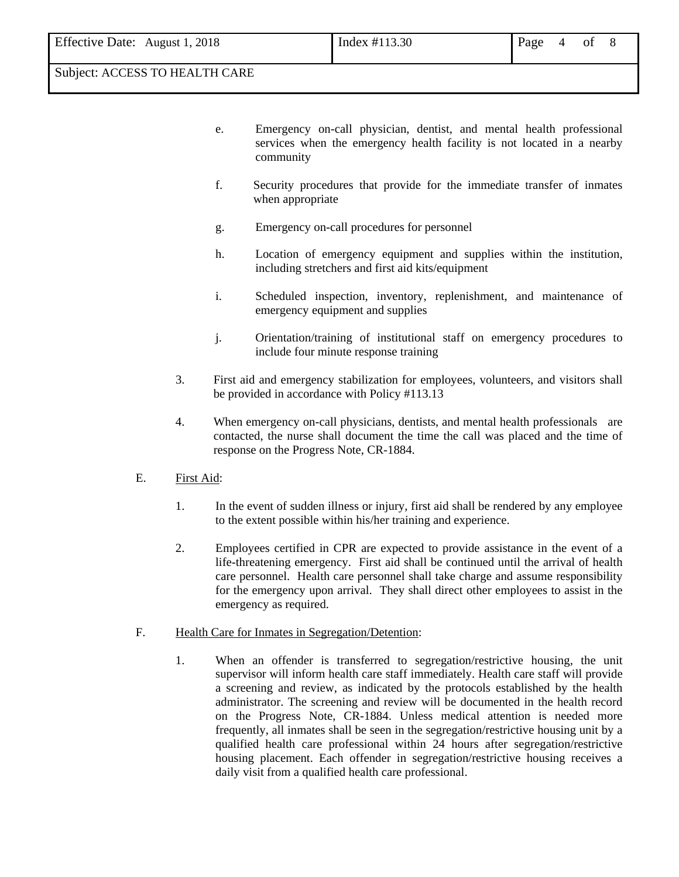- e. Emergency on-call physician, dentist, and mental health professional services when the emergency health facility is not located in a nearby community
- f. Security procedures that provide for the immediate transfer of inmates when appropriate
- g. Emergency on-call procedures for personnel
- h. Location of emergency equipment and supplies within the institution, including stretchers and first aid kits/equipment
- i. Scheduled inspection, inventory, replenishment, and maintenance of emergency equipment and supplies
- j. Orientation/training of institutional staff on emergency procedures to include four minute response training
- 3. First aid and emergency stabilization for employees, volunteers, and visitors shall be provided in accordance with Policy #113.13
- 4. When emergency on-call physicians, dentists, and mental health professionals are contacted, the nurse shall document the time the call was placed and the time of response on the Progress Note, CR-1884.
- E. First Aid:
	- 1. In the event of sudden illness or injury, first aid shall be rendered by any employee to the extent possible within his/her training and experience.
	- 2. Employees certified in CPR are expected to provide assistance in the event of a life-threatening emergency. First aid shall be continued until the arrival of health care personnel. Health care personnel shall take charge and assume responsibility for the emergency upon arrival. They shall direct other employees to assist in the emergency as required.
- F. Health Care for Inmates in Segregation/Detention:
	- 1. When an offender is transferred to segregation/restrictive housing, the unit supervisor will inform health care staff immediately. Health care staff will provide a screening and review, as indicated by the protocols established by the health administrator. The screening and review will be documented in the health record on the Progress Note, CR-1884. Unless medical attention is needed more frequently, all inmates shall be seen in the segregation/restrictive housing unit by a qualified health care professional within 24 hours after segregation/restrictive housing placement. Each offender in segregation/restrictive housing receives a daily visit from a qualified health care professional.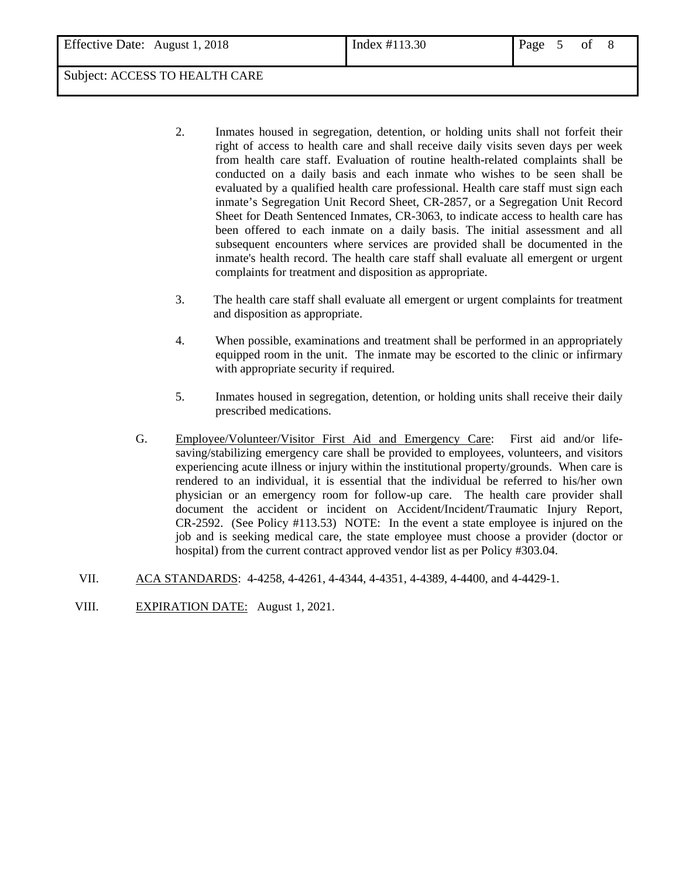- 2. Inmates housed in segregation, detention, or holding units shall not forfeit their right of access to health care and shall receive daily visits seven days per week from health care staff. Evaluation of routine health-related complaints shall be conducted on a daily basis and each inmate who wishes to be seen shall be evaluated by a qualified health care professional. Health care staff must sign each inmate's Segregation Unit Record Sheet, CR-2857, or a Segregation Unit Record Sheet for Death Sentenced Inmates, CR-3063, to indicate access to health care has been offered to each inmate on a daily basis. The initial assessment and all subsequent encounters where services are provided shall be documented in the inmate's health record. The health care staff shall evaluate all emergent or urgent complaints for treatment and disposition as appropriate.
- 3. The health care staff shall evaluate all emergent or urgent complaints for treatment and disposition as appropriate.
- 4. When possible, examinations and treatment shall be performed in an appropriately equipped room in the unit. The inmate may be escorted to the clinic or infirmary with appropriate security if required.
- 5. Inmates housed in segregation, detention, or holding units shall receive their daily prescribed medications.
- G. Employee/Volunteer/Visitor First Aid and Emergency Care: First aid and/or lifesaving/stabilizing emergency care shall be provided to employees, volunteers, and visitors experiencing acute illness or injury within the institutional property/grounds. When care is rendered to an individual, it is essential that the individual be referred to his/her own physician or an emergency room for follow-up care. The health care provider shall document the accident or incident on Accident/Incident/Traumatic Injury Report, CR-2592. (See Policy #113.53) NOTE: In the event a state employee is injured on the job and is seeking medical care, the state employee must choose a provider (doctor or hospital) from the current contract approved vendor list as per Policy #303.04.
- VII. ACA STANDARDS: 4-4258, 4-4261, 4-4344, 4-4351, 4-4389, 4-4400, and 4-4429-1.
- VIII. EXPIRATION DATE: August 1, 2021.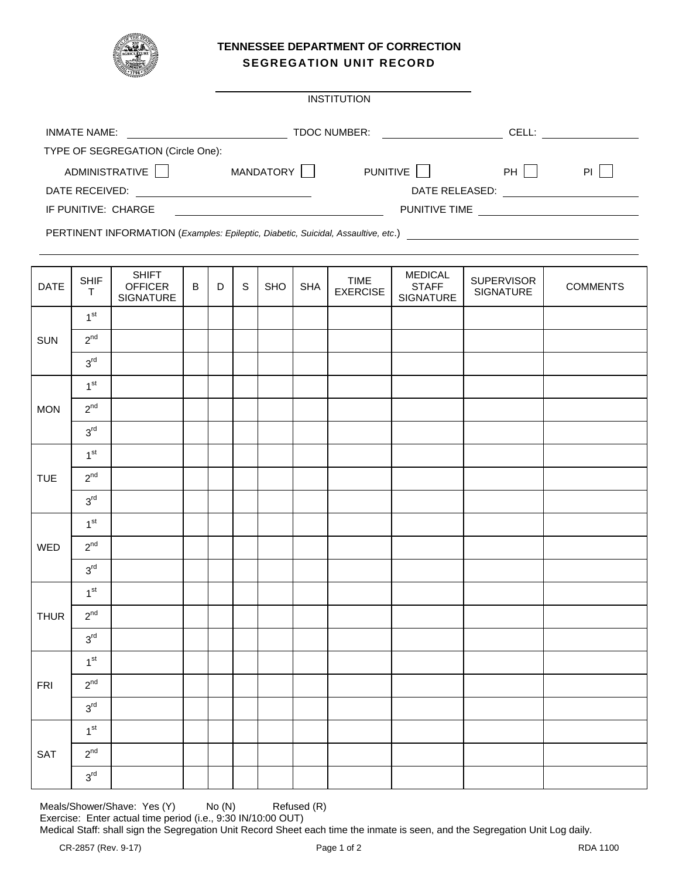

### **TENNESSEE DEPARTMENT OF CORRECTION SEGREGATION UNIT RECORD**

| <b>INSTITUTION</b>                |                     |                      |       |           |  |  |  |  |  |  |  |
|-----------------------------------|---------------------|----------------------|-------|-----------|--|--|--|--|--|--|--|
| <b>INMATE NAME:</b>               | <b>TDOC NUMBER:</b> |                      | CELL: |           |  |  |  |  |  |  |  |
| TYPE OF SEGREGATION (Circle One): |                     |                      |       |           |  |  |  |  |  |  |  |
| ADMINISTRATIVE                    | <b>MANDATORY</b>    | <b>PUNITIVE</b>      | PH    | <b>PI</b> |  |  |  |  |  |  |  |
| DATE RECEIVED:                    |                     | DATE RELEASED:       |       |           |  |  |  |  |  |  |  |
| IF PUNITIVE: CHARGE               |                     | <b>PUNITIVE TIME</b> |       |           |  |  |  |  |  |  |  |

PERTINENT INFORMATION (*Examples: Epileptic, Diabetic, Suicidal, Assaultive, etc*.)

| DATE        | <b>SHIF</b><br>$\top$ | SHIFT<br>OFFICER<br>SIGNATURE | $\, {\bf B}$ | $\mathsf D$ | $\mathsf S$ | SHO | <b>SHA</b> | <b>TIME</b><br><b>EXERCISE</b> | <b>MEDICAL</b><br><b>STAFF</b><br>SIGNATURE | <b>SUPERVISOR</b><br>SIGNATURE | <b>COMMENTS</b> |
|-------------|-----------------------|-------------------------------|--------------|-------------|-------------|-----|------------|--------------------------------|---------------------------------------------|--------------------------------|-----------------|
|             | 1 <sup>st</sup>       |                               |              |             |             |     |            |                                |                                             |                                |                 |
| SUN         | $2^{nd}$              |                               |              |             |             |     |            |                                |                                             |                                |                 |
|             | $3^{\text{rd}}$       |                               |              |             |             |     |            |                                |                                             |                                |                 |
|             | 1 <sup>st</sup>       |                               |              |             |             |     |            |                                |                                             |                                |                 |
| <b>MON</b>  | $2^{nd}$              |                               |              |             |             |     |            |                                |                                             |                                |                 |
|             | $3^{\text{rd}}$       |                               |              |             |             |     |            |                                |                                             |                                |                 |
|             | 1 <sup>st</sup>       |                               |              |             |             |     |            |                                |                                             |                                |                 |
| <b>TUE</b>  | $2^{nd}$              |                               |              |             |             |     |            |                                |                                             |                                |                 |
|             | 3 <sup>rd</sup>       |                               |              |             |             |     |            |                                |                                             |                                |                 |
|             | 1 <sup>st</sup>       |                               |              |             |             |     |            |                                |                                             |                                |                 |
| WED         | $2^{nd}$              |                               |              |             |             |     |            |                                |                                             |                                |                 |
|             | $3^{\text{rd}}$       |                               |              |             |             |     |            |                                |                                             |                                |                 |
|             | 1 <sup>st</sup>       |                               |              |             |             |     |            |                                |                                             |                                |                 |
| <b>THUR</b> | $2^{nd}$              |                               |              |             |             |     |            |                                |                                             |                                |                 |
|             | $3^{\text{rd}}$       |                               |              |             |             |     |            |                                |                                             |                                |                 |
|             | 1 <sup>st</sup>       |                               |              |             |             |     |            |                                |                                             |                                |                 |
| ${\sf FRI}$ | $2^{nd}$              |                               |              |             |             |     |            |                                |                                             |                                |                 |
|             | $3^{\text{rd}}$       |                               |              |             |             |     |            |                                |                                             |                                |                 |
|             | 1 <sup>st</sup>       |                               |              |             |             |     |            |                                |                                             |                                |                 |
| SAT         | $2^{nd}$              |                               |              |             |             |     |            |                                |                                             |                                |                 |
|             | 3 <sup>rd</sup>       |                               |              |             |             |     |            |                                |                                             |                                |                 |

Meals/Shower/Shave: Yes (Y) No (N) Refused (R) Exercise: Enter actual time period (i.e., 9:30 IN/10:00 OUT)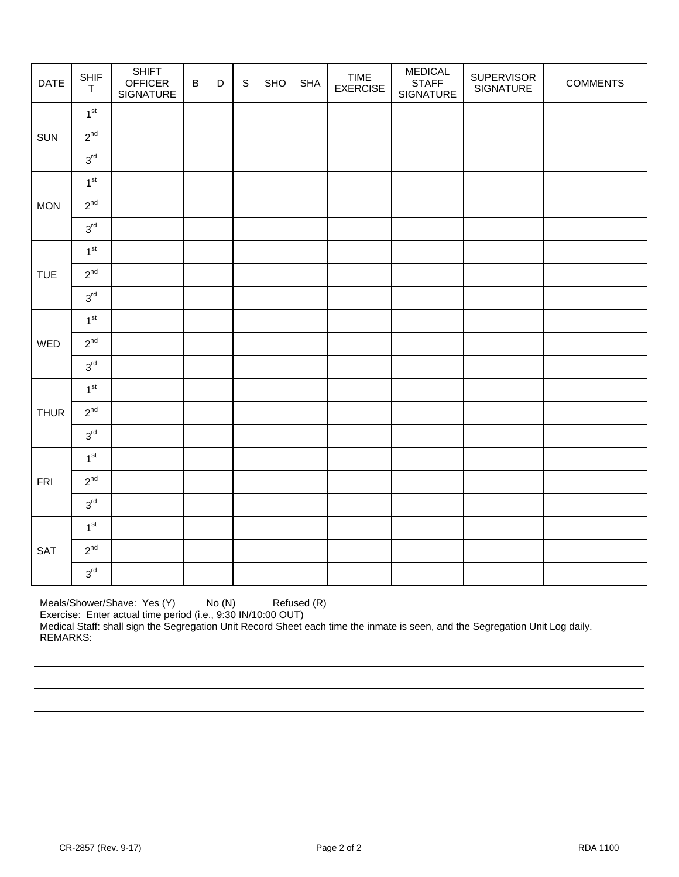| DATE        | <b>SHIF</b><br>$\top$ | <b>SHIFT</b><br><b>OFFICER</b><br>SIGNATURE | $\, {\bf B}$ | $\mathsf D$ | $\mathsf S$ | SHO | <b>SHA</b> | <b>TIME</b><br><b>EXERCISE</b> | <b>MEDICAL</b><br><b>STAFF</b><br>SIGNATURE | <b>SUPERVISOR</b><br>SIGNATURE | <b>COMMENTS</b> |
|-------------|-----------------------|---------------------------------------------|--------------|-------------|-------------|-----|------------|--------------------------------|---------------------------------------------|--------------------------------|-----------------|
|             | 1 <sup>st</sup>       |                                             |              |             |             |     |            |                                |                                             |                                |                 |
| SUN         | $2^{nd}$              |                                             |              |             |             |     |            |                                |                                             |                                |                 |
|             | 3 <sup>rd</sup>       |                                             |              |             |             |     |            |                                |                                             |                                |                 |
|             | 1 <sup>st</sup>       |                                             |              |             |             |     |            |                                |                                             |                                |                 |
| <b>MON</b>  | $2^{nd}$              |                                             |              |             |             |     |            |                                |                                             |                                |                 |
|             | $3^{\text{rd}}$       |                                             |              |             |             |     |            |                                |                                             |                                |                 |
|             | 1 <sup>st</sup>       |                                             |              |             |             |     |            |                                |                                             |                                |                 |
| <b>TUE</b>  | $2^{nd}$              |                                             |              |             |             |     |            |                                |                                             |                                |                 |
|             | $3^{\rm rd}$          |                                             |              |             |             |     |            |                                |                                             |                                |                 |
|             | 1 <sup>st</sup>       |                                             |              |             |             |     |            |                                |                                             |                                |                 |
| WED         | $2^{nd}$              |                                             |              |             |             |     |            |                                |                                             |                                |                 |
|             | $3^{\text{rd}}$       |                                             |              |             |             |     |            |                                |                                             |                                |                 |
|             | 1 <sup>st</sup>       |                                             |              |             |             |     |            |                                |                                             |                                |                 |
| <b>THUR</b> | $2^{nd}$              |                                             |              |             |             |     |            |                                |                                             |                                |                 |
|             | $3^{\text{rd}}$       |                                             |              |             |             |     |            |                                |                                             |                                |                 |
|             | 1 <sup>st</sup>       |                                             |              |             |             |     |            |                                |                                             |                                |                 |
| FRI         | $2^{nd}$              |                                             |              |             |             |     |            |                                |                                             |                                |                 |
|             | 3 <sup>rd</sup>       |                                             |              |             |             |     |            |                                |                                             |                                |                 |
|             | 1 <sup>st</sup>       |                                             |              |             |             |     |            |                                |                                             |                                |                 |
| SAT         | $2^{nd}$              |                                             |              |             |             |     |            |                                |                                             |                                |                 |
|             | $3^{\text{rd}}$       |                                             |              |             |             |     |            |                                |                                             |                                |                 |

Meals/Shower/Shave: Yes (Y) No (N) Refused (R) Exercise: Enter actual time period (i.e., 9:30 IN/10:00 OUT) Medical Staff: shall sign the Segregation Unit Record Sheet each time the inmate is seen, and the Segregation Unit Log daily. REMARKS: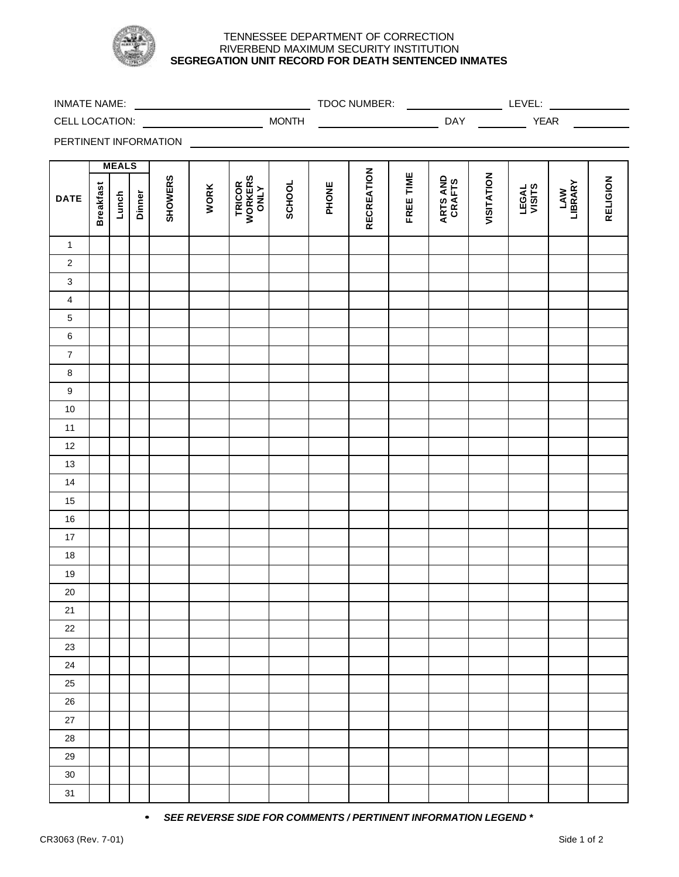

### TENNESSEE DEPARTMENT OF CORRECTION RIVERBEND MAXIMUM SECURITY INSTITUTION **SEGREGATION UNIT RECORD FOR DEATH SENTENCED INMATES**

| <b>INMATE NAME:</b>     |                       |              |        |                | <u> Alexandria de la conte</u> |                                    |              |       | TDOC NUMBER:      |           |                    |                | LEVEL:          |                |                 |
|-------------------------|-----------------------|--------------|--------|----------------|--------------------------------|------------------------------------|--------------|-------|-------------------|-----------|--------------------|----------------|-----------------|----------------|-----------------|
|                         |                       |              |        |                |                                |                                    | <b>MONTH</b> |       |                   |           |                    | <b>DAY DAY</b> | <b>YEAR</b>     |                |                 |
|                         | PERTINENT INFORMATION |              |        |                |                                |                                    |              |       |                   |           |                    |                |                 |                |                 |
|                         |                       | <b>MEALS</b> |        |                |                                |                                    |              |       |                   |           |                    |                |                 |                |                 |
| <b>DATE</b>             | <b>Breakfast</b>      | Lunch        | Dinner | <b>SHOWERS</b> | <b>WORK</b>                    | <b>TRICOR<br/>WORKERS<br/>ONLY</b> | SCHOOL       | PHONE | <b>RECREATION</b> | FREE TIME | ARTS AND<br>CRAFTS | VISITATION     | LEGAL<br>VISITS | LAW<br>LIBRARY | <b>RELIGION</b> |
| $\mathbf{1}$            |                       |              |        |                |                                |                                    |              |       |                   |           |                    |                |                 |                |                 |
| $\overline{2}$          |                       |              |        |                |                                |                                    |              |       |                   |           |                    |                |                 |                |                 |
| $\mathbf{3}$            |                       |              |        |                |                                |                                    |              |       |                   |           |                    |                |                 |                |                 |
| $\overline{\mathbf{4}}$ |                       |              |        |                |                                |                                    |              |       |                   |           |                    |                |                 |                |                 |
| $\overline{5}$          |                       |              |        |                |                                |                                    |              |       |                   |           |                    |                |                 |                |                 |
| $\, 6$                  |                       |              |        |                |                                |                                    |              |       |                   |           |                    |                |                 |                |                 |
| $\overline{7}$          |                       |              |        |                |                                |                                    |              |       |                   |           |                    |                |                 |                |                 |
| $\bf 8$                 |                       |              |        |                |                                |                                    |              |       |                   |           |                    |                |                 |                |                 |
| $\boldsymbol{9}$        |                       |              |        |                |                                |                                    |              |       |                   |           |                    |                |                 |                |                 |
| $10\,$                  |                       |              |        |                |                                |                                    |              |       |                   |           |                    |                |                 |                |                 |
| $11$                    |                       |              |        |                |                                |                                    |              |       |                   |           |                    |                |                 |                |                 |
| 12                      |                       |              |        |                |                                |                                    |              |       |                   |           |                    |                |                 |                |                 |
| 13                      |                       |              |        |                |                                |                                    |              |       |                   |           |                    |                |                 |                |                 |
| 14                      |                       |              |        |                |                                |                                    |              |       |                   |           |                    |                |                 |                |                 |
| 15                      |                       |              |        |                |                                |                                    |              |       |                   |           |                    |                |                 |                |                 |
| $16\,$                  |                       |              |        |                |                                |                                    |              |       |                   |           |                    |                |                 |                |                 |
| 17                      |                       |              |        |                |                                |                                    |              |       |                   |           |                    |                |                 |                |                 |
| $18\,$                  |                       |              |        |                |                                |                                    |              |       |                   |           |                    |                |                 |                |                 |
| 19                      |                       |              |        |                |                                |                                    |              |       |                   |           |                    |                |                 |                |                 |
| 20                      |                       |              |        |                |                                |                                    |              |       |                   |           |                    |                |                 |                |                 |
| 21                      |                       |              |        |                |                                |                                    |              |       |                   |           |                    |                |                 |                |                 |
| 22                      |                       |              |        |                |                                |                                    |              |       |                   |           |                    |                |                 |                |                 |
| 23                      |                       |              |        |                |                                |                                    |              |       |                   |           |                    |                |                 |                |                 |
| 24                      |                       |              |        |                |                                |                                    |              |       |                   |           |                    |                |                 |                |                 |
| 25                      |                       |              |        |                |                                |                                    |              |       |                   |           |                    |                |                 |                |                 |
| 26                      |                       |              |        |                |                                |                                    |              |       |                   |           |                    |                |                 |                |                 |
| 27                      |                       |              |        |                |                                |                                    |              |       |                   |           |                    |                |                 |                |                 |
| 28                      |                       |              |        |                |                                |                                    |              |       |                   |           |                    |                |                 |                |                 |

*·· SEE REVERSE SIDE FOR COMMENTS / PERTINENT INFORMATION LEGEND \**

29 30 31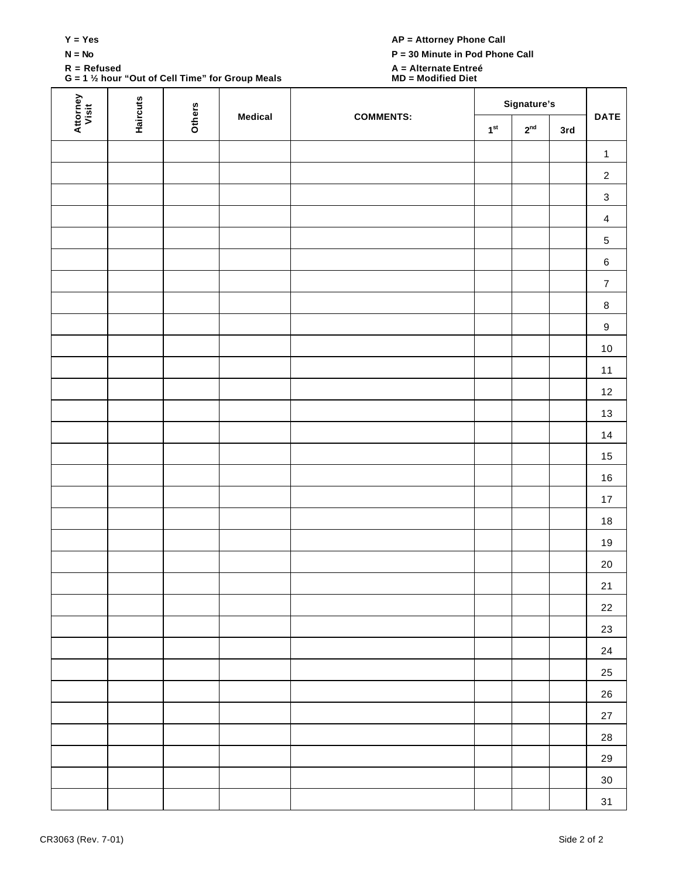| __ | ×<br>v |
|----|--------|
|    |        |

**G = 1 ½ hour "Out of Cell Time" for Group Meals MD = Modified Diet**

# **S** AP = Attorney Phone Call

**N = No P = 30 Minute in Pod Phone Call**

# **R = Refused A = Alternate Entreé**

| Attorney<br>Visit | <b>Haircuts</b> |               | Medical | <b>COMMENTS:</b> |                 | Signature's     |     | <b>DATE</b>               |
|-------------------|-----------------|---------------|---------|------------------|-----------------|-----------------|-----|---------------------------|
|                   |                 | <b>Others</b> |         |                  | $1^\mathrm{st}$ | 2 <sup>nd</sup> | 3rd |                           |
|                   |                 |               |         |                  |                 |                 |     | $\mathbf{1}$              |
|                   |                 |               |         |                  |                 |                 |     | $\sqrt{2}$                |
|                   |                 |               |         |                  |                 |                 |     | $\ensuremath{\mathsf{3}}$ |
|                   |                 |               |         |                  |                 |                 |     | $\overline{4}$            |
|                   |                 |               |         |                  |                 |                 |     | $\sqrt{5}$                |
|                   |                 |               |         |                  |                 |                 |     | $\,6$                     |
|                   |                 |               |         |                  |                 |                 |     | $\boldsymbol{7}$          |
|                   |                 |               |         |                  |                 |                 |     | $\bf 8$                   |
|                   |                 |               |         |                  |                 |                 |     | $\boldsymbol{9}$          |
|                   |                 |               |         |                  |                 |                 |     | $10\,$                    |
|                   |                 |               |         |                  |                 |                 |     | 11                        |
|                   |                 |               |         |                  |                 |                 |     | 12                        |
|                   |                 |               |         |                  |                 |                 |     | 13                        |
|                   |                 |               |         |                  |                 |                 |     | $14$                      |
|                   |                 |               |         |                  |                 |                 |     | 15                        |
|                   |                 |               |         |                  |                 |                 |     | $16\,$                    |
|                   |                 |               |         |                  |                 |                 |     | 17                        |
|                   |                 |               |         |                  |                 |                 |     | $18$                      |
|                   |                 |               |         |                  |                 |                 |     | $19$                      |
|                   |                 |               |         |                  |                 |                 |     | $20\,$                    |
|                   |                 |               |         |                  |                 |                 |     | 21                        |
|                   |                 |               |         |                  |                 |                 |     | $22\,$                    |
|                   |                 |               |         |                  |                 |                 |     | 23                        |
|                   |                 |               |         |                  |                 |                 |     | 24                        |
|                   |                 |               |         |                  |                 |                 |     | $25\,$                    |
|                   |                 |               |         |                  |                 |                 |     | ${\bf 26}$                |
|                   |                 |               |         |                  |                 |                 |     | $27\,$                    |
|                   |                 |               |         |                  |                 |                 |     | ${\bf 28}$                |
|                   |                 |               |         |                  |                 |                 |     | 29                        |
|                   |                 |               |         |                  |                 |                 |     | $30\,$                    |
|                   |                 |               |         |                  |                 |                 |     | 31                        |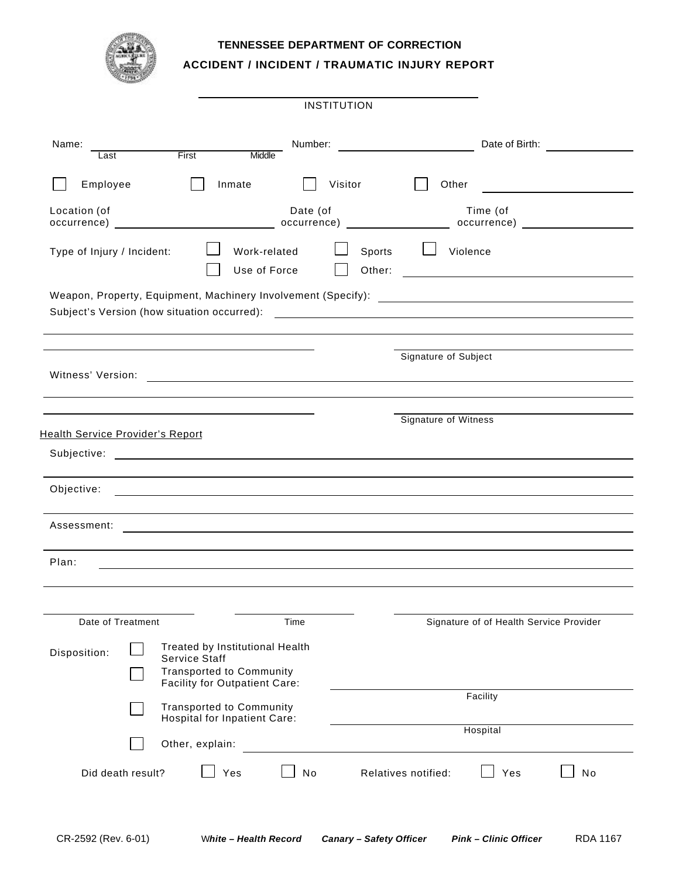### **TENNESSEE DEPARTMENT OF CORRECTION**

**ACCIDENT / INCIDENT / TRAUMATIC INJURY REPORT**

|                                                 |                                                                                                                             | <b>INSTITUTION</b> |                                                                                   |                |
|-------------------------------------------------|-----------------------------------------------------------------------------------------------------------------------------|--------------------|-----------------------------------------------------------------------------------|----------------|
| Name:<br>Last                                   | First<br>Middle                                                                                                             | Number:            |                                                                                   | Date of Birth: |
| Employee                                        | Inmate                                                                                                                      | Visitor            | Other                                                                             |                |
| Location (of                                    |                                                                                                                             | Date (of           | Time (of                                                                          |                |
| Type of Injury / Incident:                      | Work-related<br>Use of Force                                                                                                | Sports<br>Other:   | Violence<br><u> 1980 - Andrea Station Barbara, amerikan per</u>                   |                |
|                                                 |                                                                                                                             |                    |                                                                                   |                |
| Witness' Version:                               |                                                                                                                             |                    | Signature of Subject<br><u> 1989 - Johann Barnett, fransk politiker (d. 1989)</u> |                |
| Health Service Provider's Report<br>Subjective: | <u> 1989 - Andrea State Barbara, amerikan personal di sebagai personal di sebagai personal di sebagai personal d</u>        |                    | Signature of Witness                                                              |                |
| Objective:                                      |                                                                                                                             |                    |                                                                                   |                |
| Assessment:                                     |                                                                                                                             |                    |                                                                                   |                |
| Plan:                                           |                                                                                                                             |                    |                                                                                   |                |
| Date of Treatment                               |                                                                                                                             | Time               | Signature of of Health Service Provider                                           |                |
| Disposition:                                    | Treated by Institutional Health<br><b>Service Staff</b><br><b>Transported to Community</b><br>Facility for Outpatient Care: |                    |                                                                                   |                |
|                                                 | <b>Transported to Community</b><br>Hospital for Inpatient Care:                                                             |                    | Facility                                                                          |                |
|                                                 | Other, explain:                                                                                                             |                    | Hospital                                                                          |                |
| Did death result?                               | Yes                                                                                                                         | No                 | Yes<br>Relatives notified:                                                        | No             |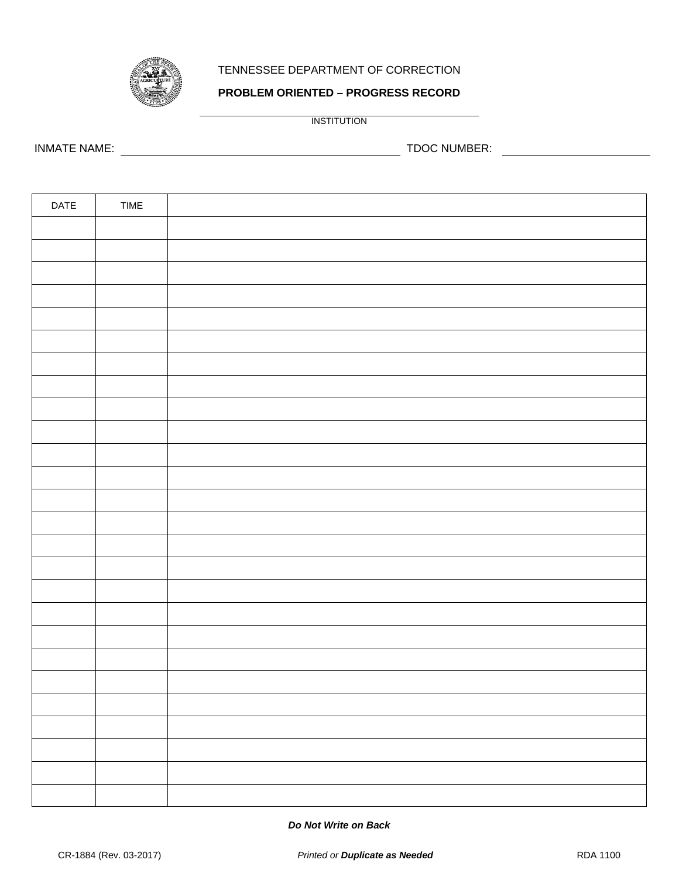

## TENNESSEE DEPARTMENT OF CORRECTION

## **PROBLEM ORIENTED – PROGRESS RECORD**

INSTITUTION

INMATE NAME: TDOC NUMBER:

| DATE | TIME |  |
|------|------|--|
|      |      |  |
|      |      |  |
|      |      |  |
|      |      |  |
|      |      |  |
|      |      |  |
|      |      |  |
|      |      |  |
|      |      |  |
|      |      |  |
|      |      |  |
|      |      |  |
|      |      |  |
|      |      |  |
|      |      |  |
|      |      |  |
|      |      |  |
|      |      |  |
|      |      |  |
|      |      |  |
|      |      |  |
|      |      |  |
|      |      |  |
|      |      |  |
|      |      |  |
|      |      |  |

#### *Do Not Write on Back*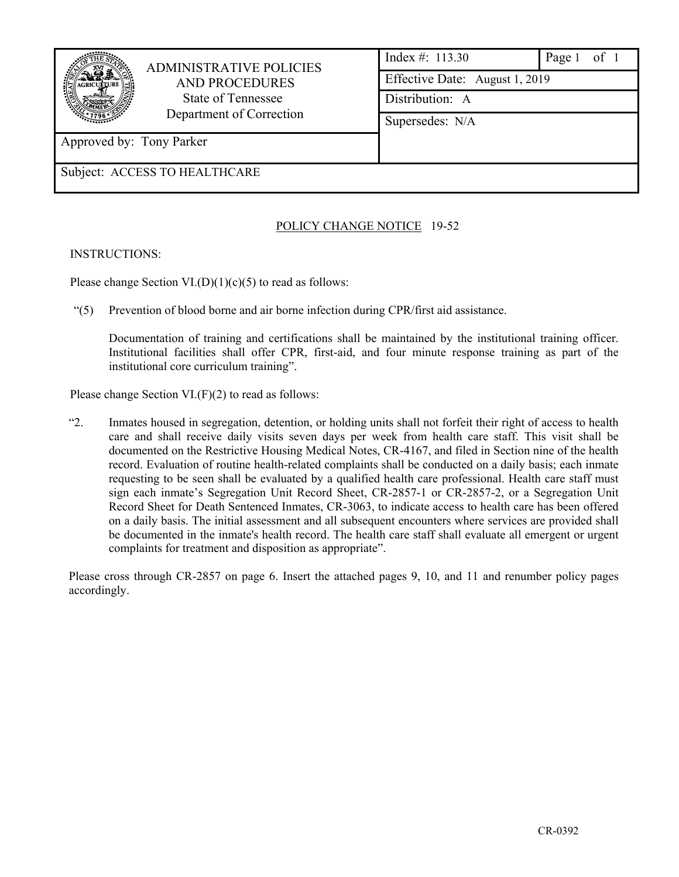|                          | <b>ADMINISTRATIVE POLICIES</b> | Index #: $113.30$<br>Page 1 of 1 |  |  |  |  |  |
|--------------------------|--------------------------------|----------------------------------|--|--|--|--|--|
|                          | <b>AND PROCEDURES</b>          | Effective Date: August 1, 2019   |  |  |  |  |  |
|                          | State of Tennessee             | Distribution: A                  |  |  |  |  |  |
|                          | Department of Correction       | Supersedes: N/A                  |  |  |  |  |  |
| Approved by: Tony Parker |                                |                                  |  |  |  |  |  |
|                          | Subject: ACCESS TO HEALTHCARE  |                                  |  |  |  |  |  |

## POLICY CHANGE NOTICE 19-52

### INSTRUCTIONS:

Please change Section VI. $(D)(1)(c)(5)$  to read as follows:

"(5) Prevention of blood borne and air borne infection during CPR/first aid assistance.

Documentation of training and certifications shall be maintained by the institutional training officer. Institutional facilities shall offer CPR, first-aid, and four minute response training as part of the institutional core curriculum training".

Please change Section VI.(F)(2) to read as follows:

"2. Inmates housed in segregation, detention, or holding units shall not forfeit their right of access to health care and shall receive daily visits seven days per week from health care staff. This visit shall be documented on the Restrictive Housing Medical Notes, CR-4167, and filed in Section nine of the health record. Evaluation of routine health-related complaints shall be conducted on a daily basis; each inmate requesting to be seen shall be evaluated by a qualified health care professional. Health care staff must sign each inmate's Segregation Unit Record Sheet, CR-2857-1 or CR-2857-2, or a Segregation Unit Record Sheet for Death Sentenced Inmates, CR-3063, to indicate access to health care has been offered on a daily basis. The initial assessment and all subsequent encounters where services are provided shall be documented in the inmate's health record. The health care staff shall evaluate all emergent or urgent complaints for treatment and disposition as appropriate".

Please cross through CR-2857 on page 6. Insert the attached pages 9, 10, and 11 and renumber policy pages accordingly.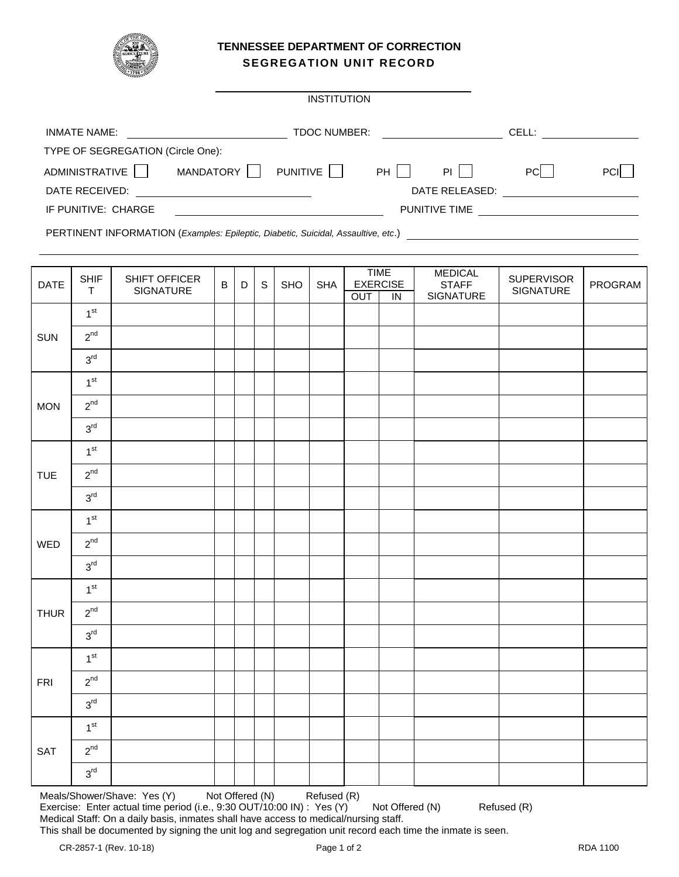

### **TENNESSEE DEPARTMENT OF CORRECTION SEGREGATION UNIT RECORD**

 $\overline{a}$ 

|                                   | <b>INSTITUTION</b>  |      |                      |            |             |
|-----------------------------------|---------------------|------|----------------------|------------|-------------|
| <b>INMATE NAME:</b>               | <b>TDOC NUMBER:</b> |      |                      | CELL:      |             |
| TYPE OF SEGREGATION (Circle One): |                     |      |                      |            |             |
| ADMINISTRATIVE  <br>MANDATORY     | PUNITIVE            | $PH$ | PI                   | <b>PCI</b> | <b>PCII</b> |
| DATE RECEIVED:                    |                     |      | DATE RELEASED:       |            |             |
| IF PUNITIVE: CHARGE               |                     |      | <b>PUNITIVE TIME</b> |            |             |

PERTINENT INFORMATION (*Examples: Epileptic, Diabetic, Suicidal, Assaultive, etc*.)

| <b>SHIF</b>     | SHIFT OFFICER                              | B                | D | $\mathbb S$ | SHO | <b>SHA</b> |     | <b>MEDICAL</b><br><b>STAFF</b>                   | <b>SUPERVISOR</b> | PROGRAM   |
|-----------------|--------------------------------------------|------------------|---|-------------|-----|------------|-----|--------------------------------------------------|-------------------|-----------|
|                 |                                            |                  |   |             |     |            |     |                                                  |                   |           |
|                 |                                            |                  |   |             |     |            |     |                                                  |                   |           |
|                 |                                            |                  |   |             |     |            |     |                                                  |                   |           |
| 3 <sup>rd</sup> |                                            |                  |   |             |     |            |     |                                                  |                   |           |
| 1 <sup>st</sup> |                                            |                  |   |             |     |            |     |                                                  |                   |           |
| $2^{nd}$        |                                            |                  |   |             |     |            |     |                                                  |                   |           |
| $3^{\text{rd}}$ |                                            |                  |   |             |     |            |     |                                                  |                   |           |
| 1 <sup>st</sup> |                                            |                  |   |             |     |            |     |                                                  |                   |           |
| $2^{nd}$        |                                            |                  |   |             |     |            |     |                                                  |                   |           |
| $3^{\text{rd}}$ |                                            |                  |   |             |     |            |     |                                                  |                   |           |
| 1 <sup>st</sup> |                                            |                  |   |             |     |            |     |                                                  |                   |           |
| $2^{nd}$        |                                            |                  |   |             |     |            |     |                                                  |                   |           |
| $3^{\text{rd}}$ |                                            |                  |   |             |     |            |     |                                                  |                   |           |
| 1 <sup>st</sup> |                                            |                  |   |             |     |            |     |                                                  |                   |           |
| $2^{nd}$        |                                            |                  |   |             |     |            |     |                                                  |                   |           |
| $3^{\text{rd}}$ |                                            |                  |   |             |     |            |     |                                                  |                   |           |
| 1 <sup>st</sup> |                                            |                  |   |             |     |            |     |                                                  |                   |           |
| $2^{nd}$        |                                            |                  |   |             |     |            |     |                                                  |                   |           |
| $3^{\rm rd}$    |                                            |                  |   |             |     |            |     |                                                  |                   |           |
| 1 <sup>st</sup> |                                            |                  |   |             |     |            |     |                                                  |                   |           |
| $2^{nd}$        |                                            |                  |   |             |     |            |     |                                                  |                   |           |
| 3 <sup>rd</sup> |                                            |                  |   |             |     |            |     |                                                  |                   |           |
|                 | $\mathsf T$<br>1 <sup>st</sup><br>$2^{nd}$ | <b>SIGNATURE</b> |   |             |     |            | OUT | <b>TIME</b><br><b>EXERCISE</b><br>$\overline{N}$ | SIGNATURE         | SIGNATURE |

Meals/Shower/Shave: Yes (Y) Not Offered (N) Refused (R) Exercise: Enter actual time period (i.e., 9:30 OUT/10:00 IN) : Yes (Y) Not Offered (N) Refused (R) Medical Staff: On a daily basis, inmates shall have access to medical/nursing staff. This shall be documented by signing the unit log and segregation unit record each time the inmate is seen.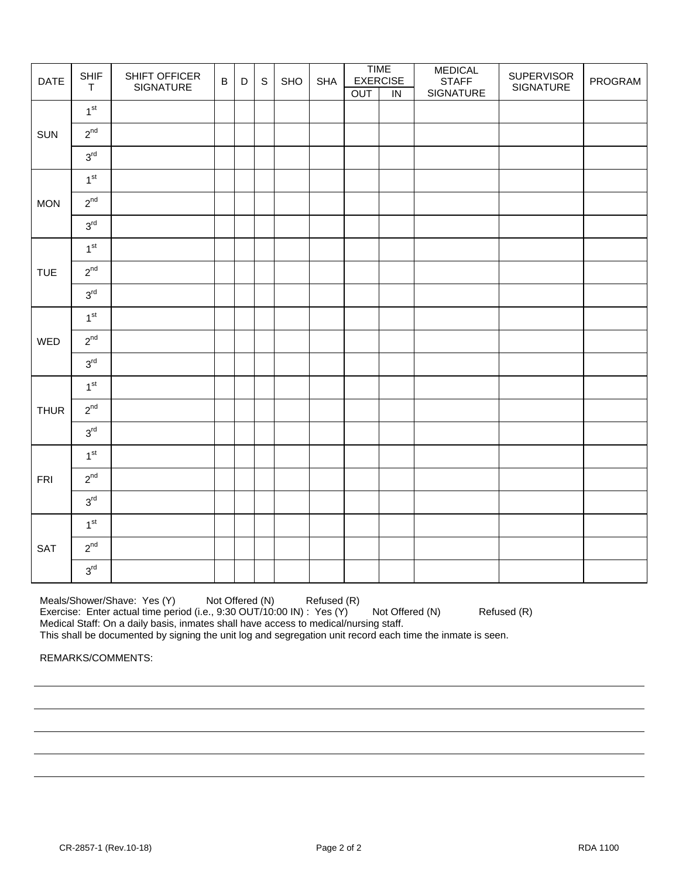| DATE        | <b>SHIF</b><br>$\top$ | SHIFT OFFICER<br>SIGNATURE | $\overline{B}$ | $\mathsf D$ | $\mathsf S$ | SHO | <b>SHA</b> |     | <b>TIME</b><br><b>EXERCISE</b> | <b>MEDICAL</b><br><b>STAFF</b> | <b>SUPERVISOR</b><br>SIGNATURE | PROGRAM |
|-------------|-----------------------|----------------------------|----------------|-------------|-------------|-----|------------|-----|--------------------------------|--------------------------------|--------------------------------|---------|
|             | 1 <sup>st</sup>       |                            |                |             |             |     |            | OUT | $\overline{N}$                 | SIGNATURE                      |                                |         |
|             |                       |                            |                |             |             |     |            |     |                                |                                |                                |         |
| SUN         | $2^{nd}$              |                            |                |             |             |     |            |     |                                |                                |                                |         |
|             | $3^{\text{rd}}$       |                            |                |             |             |     |            |     |                                |                                |                                |         |
|             | 1 <sup>st</sup>       |                            |                |             |             |     |            |     |                                |                                |                                |         |
| <b>MON</b>  | $2^{nd}$              |                            |                |             |             |     |            |     |                                |                                |                                |         |
|             | $3^{\text{rd}}$       |                            |                |             |             |     |            |     |                                |                                |                                |         |
|             | 1 <sup>st</sup>       |                            |                |             |             |     |            |     |                                |                                |                                |         |
| <b>TUE</b>  | $2^{nd}$              |                            |                |             |             |     |            |     |                                |                                |                                |         |
|             | $3^{\rm rd}$          |                            |                |             |             |     |            |     |                                |                                |                                |         |
|             | 1 <sup>st</sup>       |                            |                |             |             |     |            |     |                                |                                |                                |         |
| WED         | $2^{nd}$              |                            |                |             |             |     |            |     |                                |                                |                                |         |
|             | $3^{\text{rd}}$       |                            |                |             |             |     |            |     |                                |                                |                                |         |
|             | 1 <sup>st</sup>       |                            |                |             |             |     |            |     |                                |                                |                                |         |
| <b>THUR</b> | $2^{nd}$              |                            |                |             |             |     |            |     |                                |                                |                                |         |
|             | 3 <sup>rd</sup>       |                            |                |             |             |     |            |     |                                |                                |                                |         |
|             | 1 <sup>st</sup>       |                            |                |             |             |     |            |     |                                |                                |                                |         |
| <b>FRI</b>  | $2^{nd}$              |                            |                |             |             |     |            |     |                                |                                |                                |         |
|             | $3^{\text{rd}}$       |                            |                |             |             |     |            |     |                                |                                |                                |         |
|             | 1 <sup>st</sup>       |                            |                |             |             |     |            |     |                                |                                |                                |         |
| SAT         | $2^{nd}$              |                            |                |             |             |     |            |     |                                |                                |                                |         |
|             | 3 <sup>rd</sup>       |                            |                |             |             |     |            |     |                                |                                |                                |         |

Meals/Shower/Shave: Yes (Y) Not Offered (N) Refused (R) Exercise: Enter actual time period (i.e., 9:30 OUT/10:00 IN) : Yes (Y) Not Offered (N) Refused (R) Medical Staff: On a daily basis, inmates shall have access to medical/nursing staff.

This shall be documented by signing the unit log and segregation unit record each time the inmate is seen.

REMARKS/COMMENTS: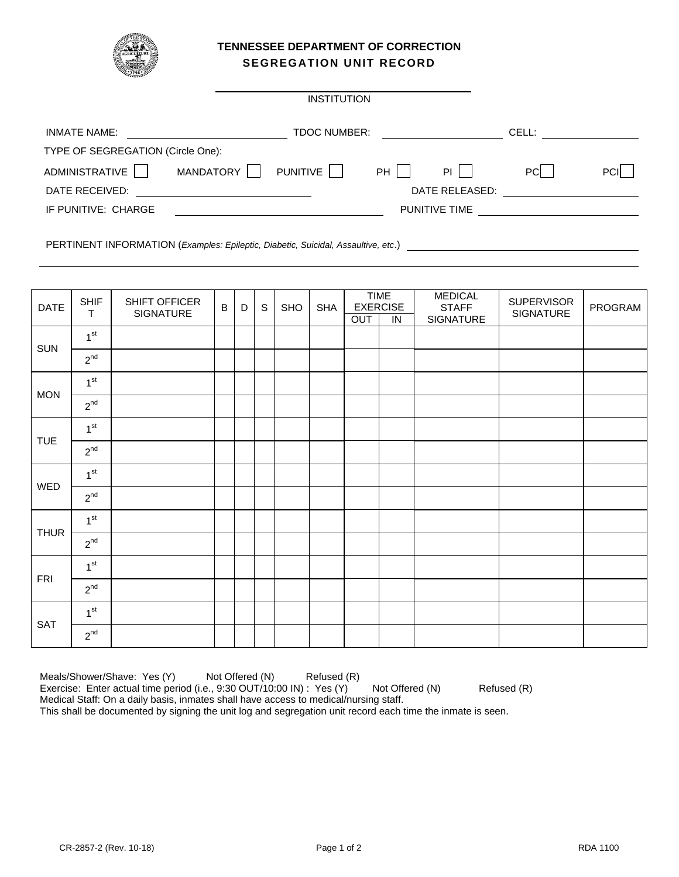

### **TENNESSEE DEPARTMENT OF CORRECTION SEGREGATION UNIT RECORD**

 $\overline{a}$ 

|                                   |           | <b>INSTITUTION</b>  |    |                      |       |             |
|-----------------------------------|-----------|---------------------|----|----------------------|-------|-------------|
| <b>INMATE NAME:</b>               |           | <b>TDOC NUMBER:</b> |    |                      | CELL: |             |
| TYPE OF SEGREGATION (Circle One): |           |                     |    |                      |       |             |
| ADMINISTRATIVE                    | MANDATORY | PUNITIVE            | PH | PL I                 | PCI   | <b>PCII</b> |
| DATE RECEIVED:                    |           |                     |    | DATE RELEASED:       |       |             |
| IF PUNITIVE: CHARGE               |           |                     |    | <b>PUNITIVE TIME</b> |       |             |
|                                   |           |                     |    |                      |       |             |

PERTINENT INFORMATION (*Examples: Epileptic, Diabetic, Suicidal, Assaultive, etc*.)

| <b>DATE</b> | <b>SHIF</b><br>T | SHIFT OFFICER<br>SIGNATURE | $\mathsf B$ | D | $\mathsf S$ | SHO | <b>SHA</b> | OUT | <b>TIME</b><br><b>EXERCISE</b><br>IN | <b>MEDICAL</b><br><b>STAFF</b><br>SIGNATURE | <b>SUPERVISOR</b><br>SIGNATURE | PROGRAM |
|-------------|------------------|----------------------------|-------------|---|-------------|-----|------------|-----|--------------------------------------|---------------------------------------------|--------------------------------|---------|
| <b>SUN</b>  | 1 <sup>st</sup>  |                            |             |   |             |     |            |     |                                      |                                             |                                |         |
|             | $2^{nd}$         |                            |             |   |             |     |            |     |                                      |                                             |                                |         |
|             | 1 <sup>st</sup>  |                            |             |   |             |     |            |     |                                      |                                             |                                |         |
| <b>MON</b>  | $2^{nd}$         |                            |             |   |             |     |            |     |                                      |                                             |                                |         |
| <b>TUE</b>  | 1 <sup>st</sup>  |                            |             |   |             |     |            |     |                                      |                                             |                                |         |
|             | $2^{nd}$         |                            |             |   |             |     |            |     |                                      |                                             |                                |         |
|             | 1 <sup>st</sup>  |                            |             |   |             |     |            |     |                                      |                                             |                                |         |
| WED         | $2^{nd}$         |                            |             |   |             |     |            |     |                                      |                                             |                                |         |
| <b>THUR</b> | 1 <sup>st</sup>  |                            |             |   |             |     |            |     |                                      |                                             |                                |         |
|             | $2^{nd}$         |                            |             |   |             |     |            |     |                                      |                                             |                                |         |
|             | 1 <sup>st</sup>  |                            |             |   |             |     |            |     |                                      |                                             |                                |         |
| <b>FRI</b>  | $2^{nd}$         |                            |             |   |             |     |            |     |                                      |                                             |                                |         |
| SAT         | 1 <sup>st</sup>  |                            |             |   |             |     |            |     |                                      |                                             |                                |         |
|             | $2^{nd}$         |                            |             |   |             |     |            |     |                                      |                                             |                                |         |

Meals/Shower/Shave: Yes (Y) Not Offered (N) Refused (R) Exercise: Enter actual time period (i.e., 9:30 OUT/10:00 IN) : Yes (Y) Not Offered (N) Refused (R) Medical Staff: On a daily basis, inmates shall have access to medical/nursing staff. This shall be documented by signing the unit log and segregation unit record each time the inmate is seen.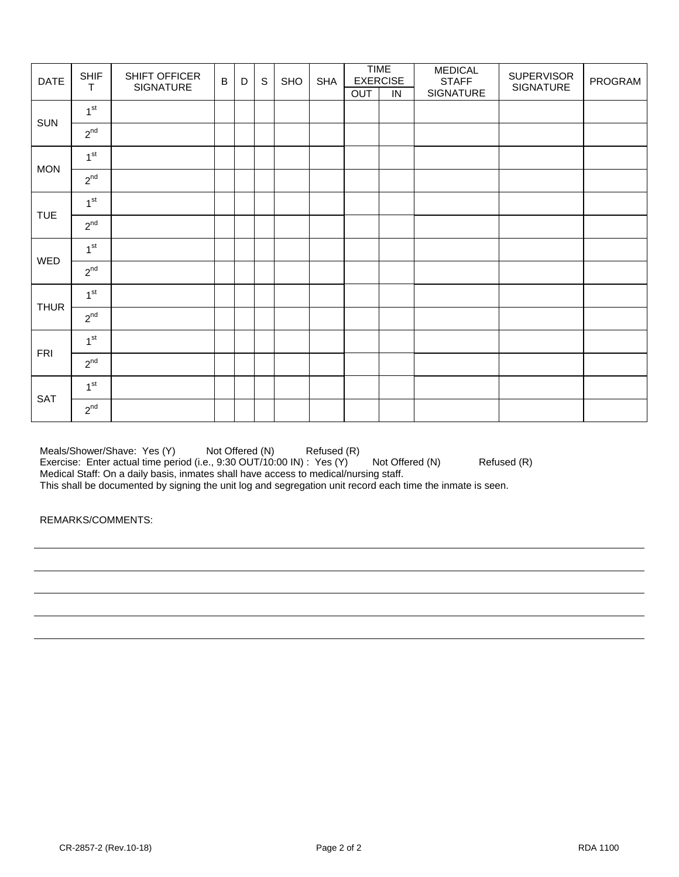| <b>DATE</b> | <b>SHIF</b><br>$\top$ | SHIFT OFFICER<br>SIGNATURE | $\overline{B}$ | D | $\mathsf S$ | SHO | <b>SHA</b> | OUT | <b>TIME</b><br><b>EXERCISE</b><br>IN | <b>MEDICAL</b><br><b>STAFF</b><br>SIGNATURE | <b>SUPERVISOR</b><br>SIGNATURE | PROGRAM |
|-------------|-----------------------|----------------------------|----------------|---|-------------|-----|------------|-----|--------------------------------------|---------------------------------------------|--------------------------------|---------|
|             | 1 <sup>st</sup>       |                            |                |   |             |     |            |     |                                      |                                             |                                |         |
| SUN         | $2^{nd}$              |                            |                |   |             |     |            |     |                                      |                                             |                                |         |
|             | 1 <sup>st</sup>       |                            |                |   |             |     |            |     |                                      |                                             |                                |         |
| <b>MON</b>  | $2^{nd}$              |                            |                |   |             |     |            |     |                                      |                                             |                                |         |
|             | 1 <sup>st</sup>       |                            |                |   |             |     |            |     |                                      |                                             |                                |         |
| <b>TUE</b>  | $2^{nd}$              |                            |                |   |             |     |            |     |                                      |                                             |                                |         |
| WED         | 1 <sup>st</sup>       |                            |                |   |             |     |            |     |                                      |                                             |                                |         |
|             | $2^{nd}$              |                            |                |   |             |     |            |     |                                      |                                             |                                |         |
| <b>THUR</b> | 1 <sup>st</sup>       |                            |                |   |             |     |            |     |                                      |                                             |                                |         |
|             | $2^{nd}$              |                            |                |   |             |     |            |     |                                      |                                             |                                |         |
|             | 1 <sup>st</sup>       |                            |                |   |             |     |            |     |                                      |                                             |                                |         |
| <b>FRI</b>  | $2^{nd}$              |                            |                |   |             |     |            |     |                                      |                                             |                                |         |
| SAT         | 1 <sup>st</sup>       |                            |                |   |             |     |            |     |                                      |                                             |                                |         |
|             | $2^{nd}$              |                            |                |   |             |     |            |     |                                      |                                             |                                |         |

Meals/Shower/Shave: Yes (Y) Not Offered (N) Refused (R) Exercise: Enter actual time period (i.e., 9:30 OUT/10:00 IN) : Yes (Y) Not Offered (N) Refused (R) Medical Staff: On a daily basis, inmates shall have access to medical/nursing staff. This shall be documented by signing the unit log and segregation unit record each time the inmate is seen.

REMARKS/COMMENTS: